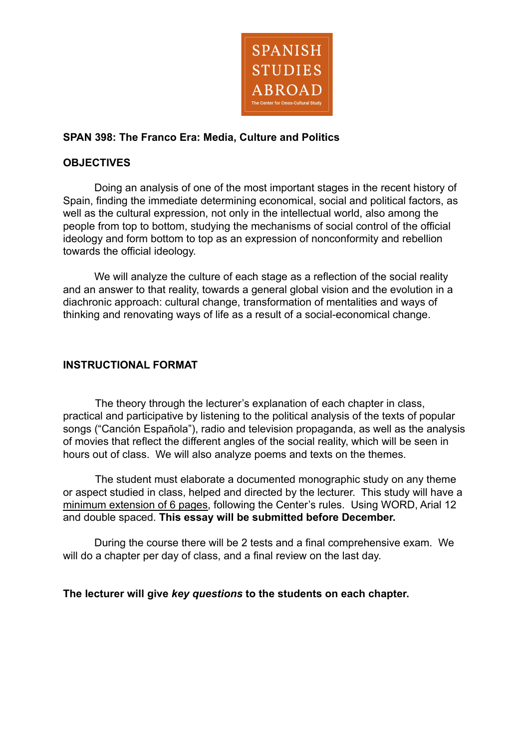

## **SPAN 398: The Franco Era: Media, Culture and Politics**

## **OBJECTIVES**

Doing an analysis of one of the most important stages in the recent history of Spain, finding the immediate determining economical, social and political factors, as well as the cultural expression, not only in the intellectual world, also among the people from top to bottom, studying the mechanisms of social control of the official ideology and form bottom to top as an expression of nonconformity and rebellion towards the official ideology.

We will analyze the culture of each stage as a reflection of the social reality and an answer to that reality, towards a general global vision and the evolution in a diachronic approach: cultural change, transformation of mentalities and ways of thinking and renovating ways of life as a result of a social-economical change.

### **INSTRUCTIONAL FORMAT**

The theory through the lecturer's explanation of each chapter in class, practical and participative by listening to the political analysis of the texts of popular songs ("Canción Española"), radio and television propaganda, as well as the analysis of movies that reflect the different angles of the social reality, which will be seen in hours out of class. We will also analyze poems and texts on the themes.

The student must elaborate a documented monographic study on any theme or aspect studied in class, helped and directed by the lecturer. This study will have a minimum extension of 6 pages, following the Center's rules. Using WORD, Arial 12 and double spaced. **This essay will be submitted before December.**

During the course there will be 2 tests and a final comprehensive exam. We will do a chapter per day of class, and a final review on the last day.

### **The lecturer will give** *key questions* **to the students on each chapter.**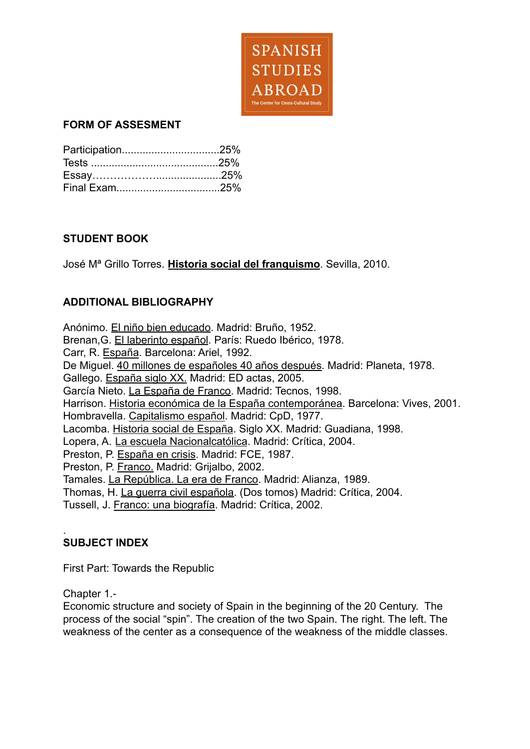

## **FORM OF ASSESMENT**

# **STUDENT BOOK**

José Mª Grillo Torres. **Historia social del franquismo**. Sevilla, 2010.

# **ADDITIONAL BIBLIOGRAPHY**

Anónimo. El niño bien educado. Madrid: Bruño, 1952. Brenan,G. El laberinto español. París: Ruedo Ibérico, 1978. Carr, R. España. Barcelona: Ariel, 1992. De Miguel. 40 millones de españoles 40 años después. Madrid: Planeta, 1978. Gallego. España siglo XX. Madrid: ED actas, 2005. García Nieto. La España de Franco. Madrid: Tecnos, 1998. Harrison. Historia económica de la España contemporánea. Barcelona: Vives, 2001. Hombravella. Capitalismo español. Madrid: CpD, 1977. Lacomba. Historia social de España. Siglo XX. Madrid: Guadiana, 1998. Lopera, A. La escuela Nacionalcatólica. Madrid: Crítica, 2004. Preston, P. España en crisis. Madrid: FCE, 1987. Preston, P. Franco. Madrid: Grijalbo, 2002. Tamales. La República. La era de Franco. Madrid: Alianza, 1989. Thomas, H. La guerra civil española. (Dos tomos) Madrid: Crítica, 2004. Tussell, J. Franco: una biografía. Madrid: Crítica, 2002.

# **SUBJECT INDEX**

First Part: Towards the Republic

Chapter 1.-

.

Economic structure and society of Spain in the beginning of the 20 Century. The process of the social "spin". The creation of the two Spain. The right. The left. The weakness of the center as a consequence of the weakness of the middle classes.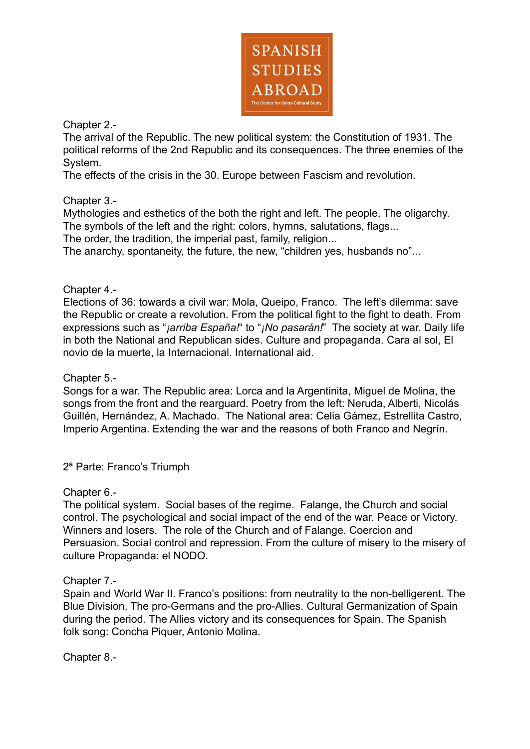

Chapter 2.-

The arrival of the Republic. The new political system: the Constitution of 1931. The political reforms of the 2nd Republic and its consequences. The three enemies of the System.

The effects of the crisis in the 30. Europe between Fascism and revolution.

Chapter 3.-

Mythologies and esthetics of the both the right and left. The people. The oligarchy. The symbols of the left and the right: colors, hymns, salutations, flags...

The order, the tradition, the imperial past, family, religion...

The anarchy, spontaneity, the future, the new, "children yes, husbands no"...

Chapter 4.-

Elections of 36: towards a civil war: Mola, Queipo, Franco. The left's dilemma: save the Republic or create a revolution. From the political fight to the fight to death. From expressions such as "*¡arriba España!*" to "*¡No pasarán!*" The society at war. Daily life in both the National and Republican sides. Culture and propaganda. Cara al sol, El novio de la muerte, la Internacional. International aid.

Chapter 5.-

Songs for a war. The Republic area: Lorca and la Argentinita, Miguel de Molina, the songs from the front and the rearguard. Poetry from the left: Neruda, Alberti, Nicolás Guillén, Hernández, A. Machado. The National area: Celia Gámez, Estrellita Castro, Imperio Argentina. Extending the war and the reasons of both Franco and Negrín.

2ª Parte: Franco's Triumph

Chapter 6.-

The political system. Social bases of the regime. Falange, the Church and social control. The psychological and social impact of the end of the war. Peace or Victory. Winners and losers. The role of the Church and of Falange. Coercion and Persuasion. Social control and repression. From the culture of misery to the misery of culture Propaganda: el NODO.

Chapter 7.-

Spain and World War II. Franco's positions: from neutrality to the non-belligerent. The Blue Division. The pro-Germans and the pro-Allies. Cultural Germanization of Spain during the period. The Allies victory and its consequences for Spain. The Spanish folk song: Concha Piquer, Antonio Molina.

Chapter 8.-